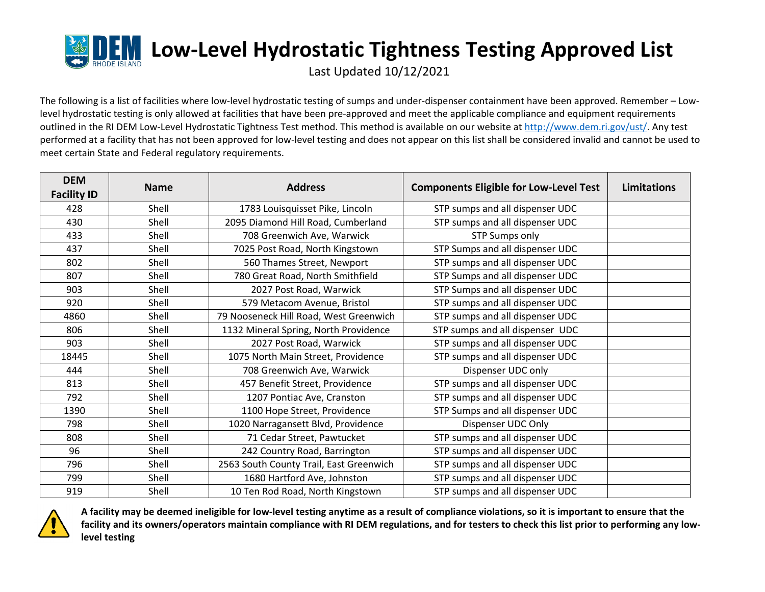

Last Updated 10/12/2021

The following is a list of facilities where low-level hydrostatic testing of sumps and under-dispenser containment have been approved. Remember – Lowlevel hydrostatic testing is only allowed at facilities that have been pre‐approved and meet the applicable compliance and equipment requirements outlined in the RI DEM Low-Level Hydrostatic Tightness Test method. This method is available on our website at http://www.dem.ri.gov/ust/. Any test performed at a facility that has not been approved for low-level testing and does not appear on this list shall be considered invalid and cannot be used to meet certain State and Federal regulatory requirements.

| <b>DEM</b>         | <b>Name</b> | <b>Address</b>                          | <b>Components Eligible for Low-Level Test</b> | Limitations |
|--------------------|-------------|-----------------------------------------|-----------------------------------------------|-------------|
| <b>Facility ID</b> |             |                                         |                                               |             |
| 428                | Shell       | 1783 Louisquisset Pike, Lincoln         | STP sumps and all dispenser UDC               |             |
| 430                | Shell       | 2095 Diamond Hill Road, Cumberland      | STP sumps and all dispenser UDC               |             |
| 433                | Shell       | 708 Greenwich Ave, Warwick              | <b>STP Sumps only</b>                         |             |
| 437                | Shell       | 7025 Post Road, North Kingstown         | STP Sumps and all dispenser UDC               |             |
| 802                | Shell       | 560 Thames Street, Newport              | STP sumps and all dispenser UDC               |             |
| 807                | Shell       | 780 Great Road, North Smithfield        | STP Sumps and all dispenser UDC               |             |
| 903                | Shell       | 2027 Post Road, Warwick                 | STP Sumps and all dispenser UDC               |             |
| 920                | Shell       | 579 Metacom Avenue, Bristol             | STP sumps and all dispenser UDC               |             |
| 4860               | Shell       | 79 Nooseneck Hill Road, West Greenwich  | STP sumps and all dispenser UDC               |             |
| 806                | Shell       | 1132 Mineral Spring, North Providence   | STP sumps and all dispenser UDC               |             |
| 903                | Shell       | 2027 Post Road, Warwick                 | STP sumps and all dispenser UDC               |             |
| 18445              | Shell       | 1075 North Main Street, Providence      | STP sumps and all dispenser UDC               |             |
| 444                | Shell       | 708 Greenwich Ave, Warwick              | Dispenser UDC only                            |             |
| 813                | Shell       | 457 Benefit Street, Providence          | STP sumps and all dispenser UDC               |             |
| 792                | Shell       | 1207 Pontiac Ave, Cranston              | STP sumps and all dispenser UDC               |             |
| 1390               | Shell       | 1100 Hope Street, Providence            | STP Sumps and all dispenser UDC               |             |
| 798                | Shell       | 1020 Narragansett Blvd, Providence      | Dispenser UDC Only                            |             |
| 808                | Shell       | 71 Cedar Street, Pawtucket              | STP sumps and all dispenser UDC               |             |
| 96                 | Shell       | 242 Country Road, Barrington            | STP sumps and all dispenser UDC               |             |
| 796                | Shell       | 2563 South County Trail, East Greenwich | STP sumps and all dispenser UDC               |             |
| 799                | Shell       | 1680 Hartford Ave, Johnston             | STP sumps and all dispenser UDC               |             |
| 919                | Shell       | 10 Ten Rod Road, North Kingstown        | STP sumps and all dispenser UDC               |             |



A facility may be deemed ineligible for low-level testing anytime as a result of compliance violations, so it is important to ensure that the facility and its owners/operators maintain compliance with RI DEM regulations, and for testers to check this list prior to performing any low**level testing**